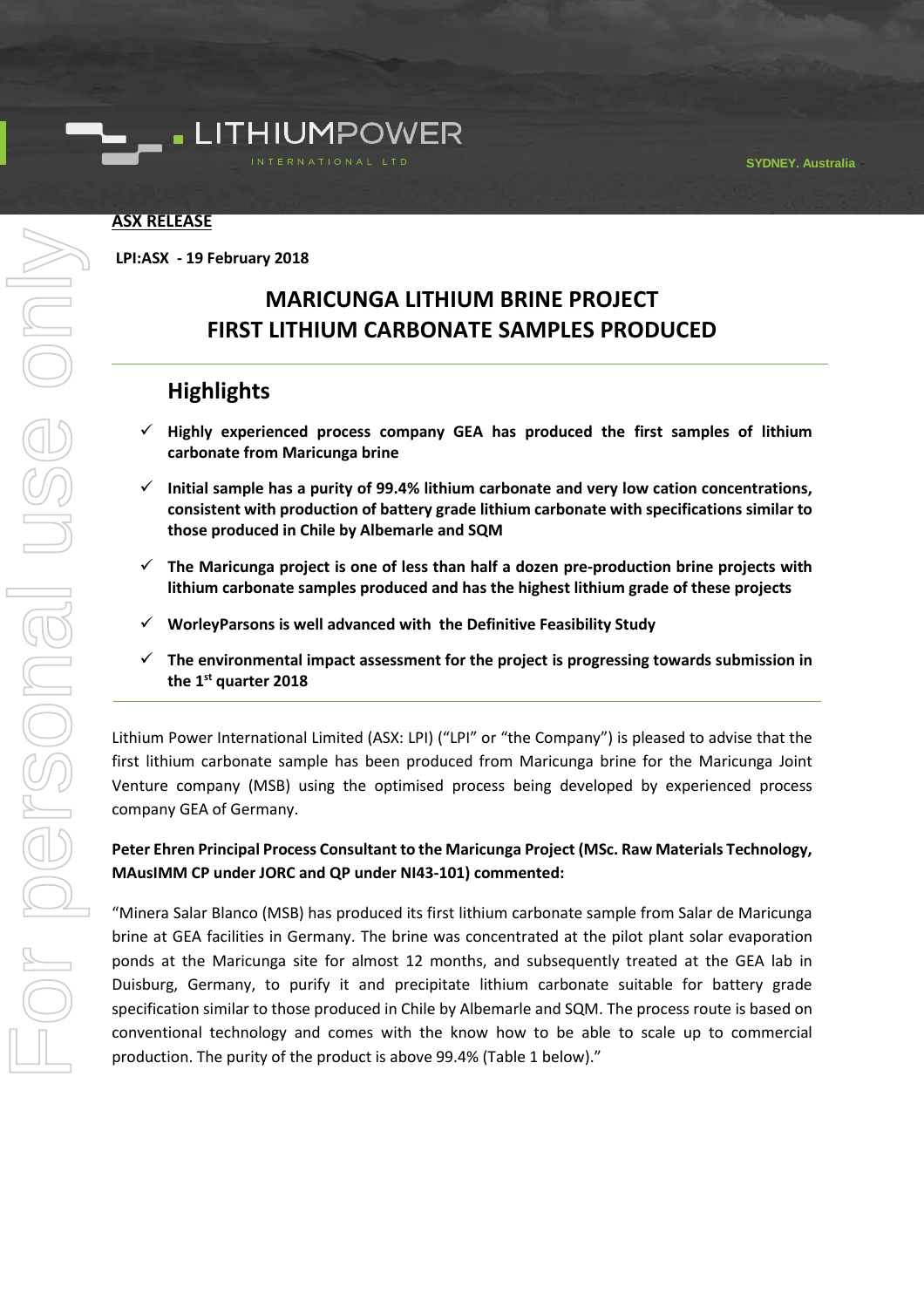

#### **ASX RELEASE**

**LPI:ASX - 19 February 2018**

# **MARICUNGA LITHIUM BRINE PROJECT FIRST LITHIUM CARBONATE SAMPLES PRODUCED**

# **Highlights**

- ✓ **Highly experienced process company GEA has produced the first samples of lithium carbonate from Maricunga brine**
- ✓ **Initial sample has a purity of 99.4% lithium carbonate and very low cation concentrations, consistent with production of battery grade lithium carbonate with specifications similar to those produced in Chile by Albemarle and SQM**
- ✓ **The Maricunga project is one of less than half a dozen pre-production brine projects with lithium carbonate samples produced and has the highest lithium grade of these projects**
- ✓ **WorleyParsons is well advanced with the Definitive Feasibility Study**
- ✓ **The environmental impact assessment for the project is progressing towards submission in the 1st quarter 2018**

Lithium Power International Limited (ASX: LPI) ("LPI" or "the Company") is pleased to advise that the first lithium carbonate sample has been produced from Maricunga brine for the Maricunga Joint Venture company (MSB) using the optimised process being developed by experienced process company GEA of Germany.

## **Peter Ehren Principal Process Consultant to the Maricunga Project (MSc. Raw Materials Technology, MAusIMM CP under JORC and QP under NI43-101) commented:**

"Minera Salar Blanco (MSB) has produced its first lithium carbonate sample from Salar de Maricunga brine at GEA facilities in Germany. The brine was concentrated at the pilot plant solar evaporation ponds at the Maricunga site for almost 12 months, and subsequently treated at the GEA lab in Duisburg, Germany, to purify it and precipitate lithium carbonate suitable for battery grade specification similar to those produced in Chile by Albemarle and SQM. The process route is based on conventional technology and comes with the know how to be able to scale up to commercial production. The purity of the product is above 99.4% (Table 1 below)."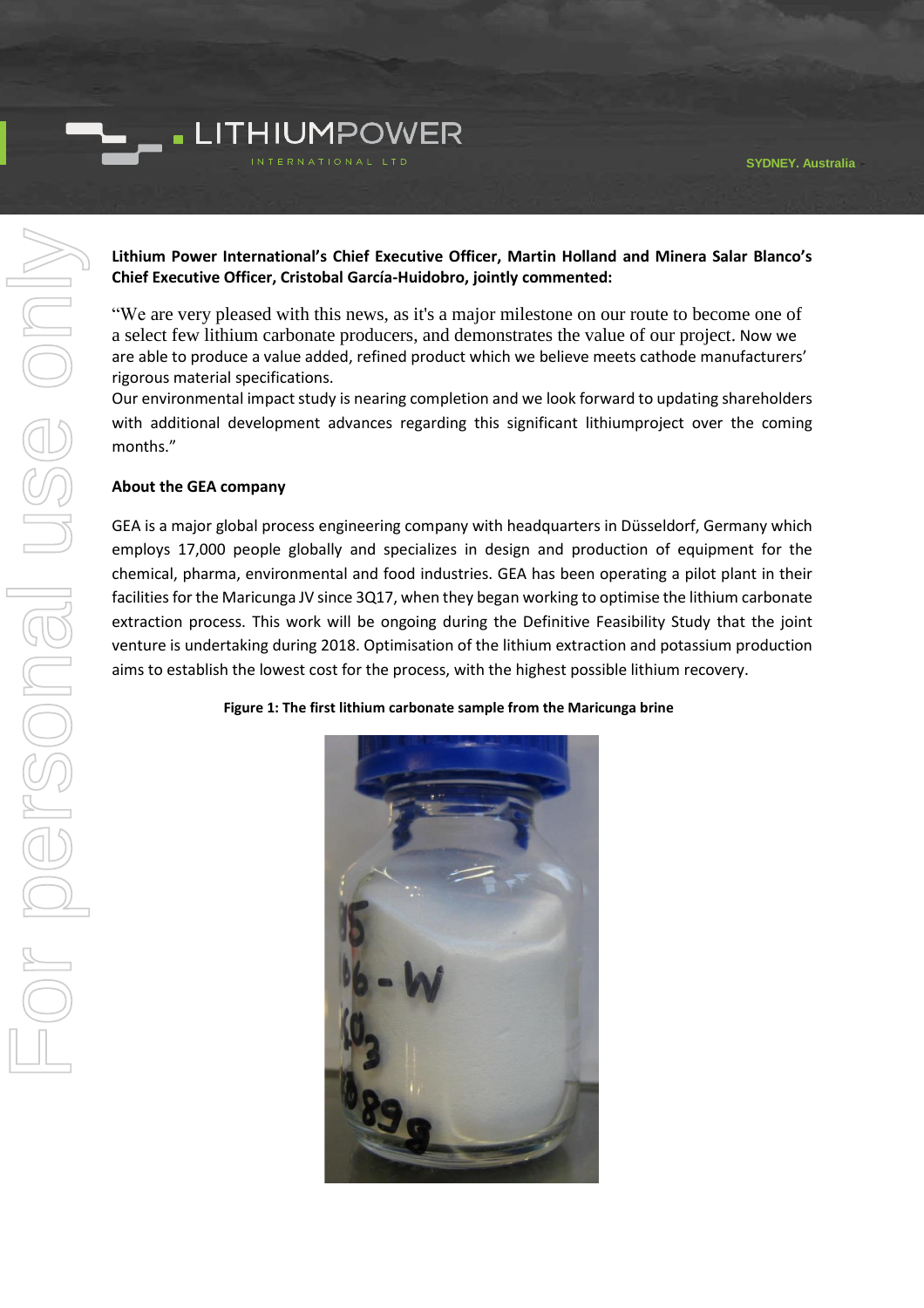

### **Lithium Power International's Chief Executive Officer, Martin Holland and Minera Salar Blanco's Chief Executive Officer, Cristobal García-Huidobro, jointly commented:**

"We are very pleased with this news, as it's a major milestone on our route to become one of a select few lithium carbonate producers, and demonstrates the value of our project. Now we are able to produce a value added, refined product which we believe meets cathode manufacturers' rigorous material specifications.

Our environmental impact study is nearing completion and we look forward to updating shareholders with additional development advances regarding this significant lithiumproject over the coming months."

#### **About the GEA company**

GEA is a major global process engineering company with headquarters in Düsseldorf, Germany which employs 17,000 people globally and specializes in design and production of equipment for the chemical, pharma, environmental and food industries. GEA has been operating a pilot plant in their facilities for the Maricunga JV since 3Q17, when they began working to optimise the lithium carbonate extraction process. This work will be ongoing during the Definitive Feasibility Study that the joint venture is undertaking during 2018. Optimisation of the lithium extraction and potassium production aims to establish the lowest cost for the process, with the highest possible lithium recovery.

**Figure 1: The first lithium carbonate sample from the Maricunga brine**

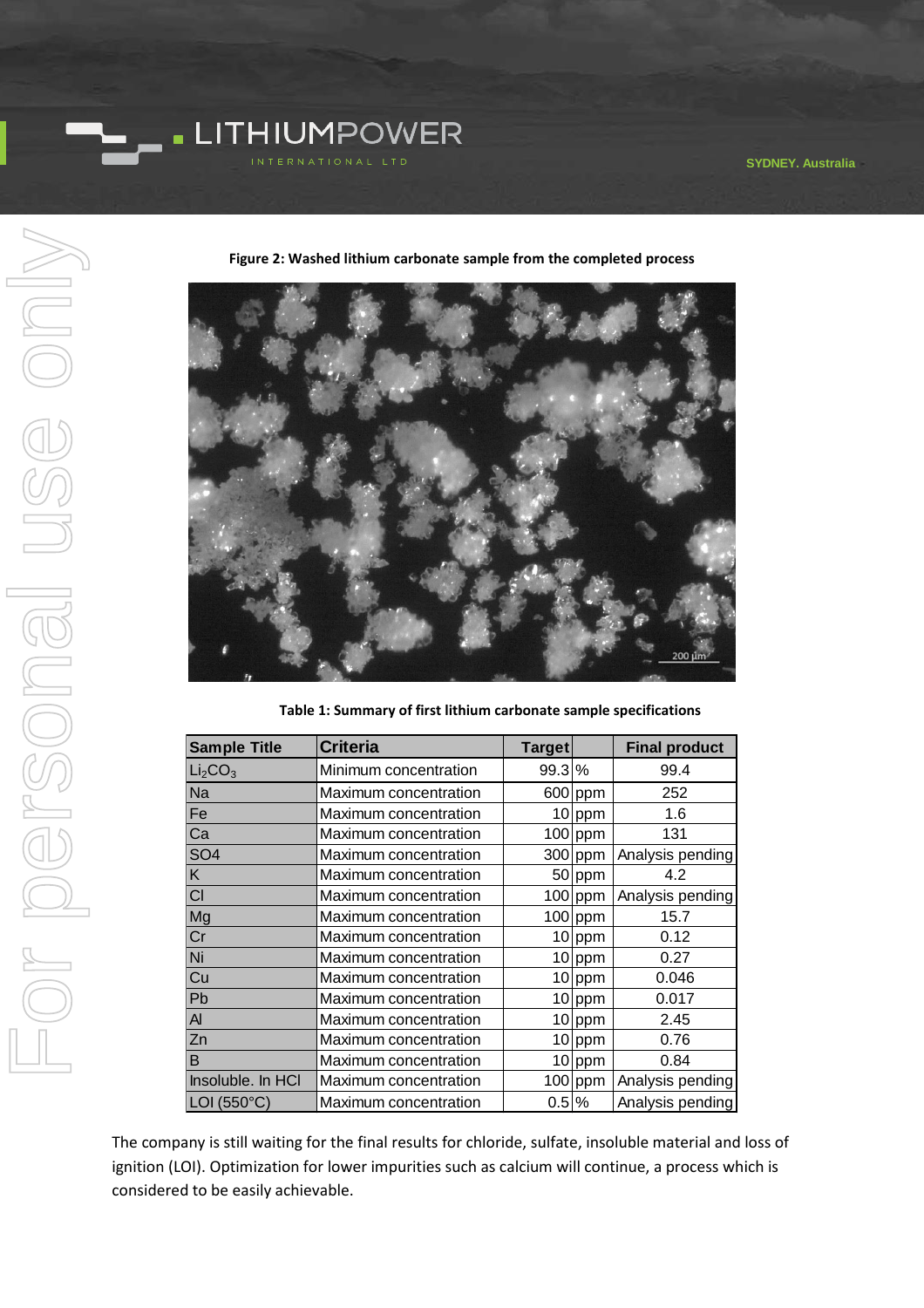**SYDNEY, Australia**



**Figure 2: Washed lithium carbonate sample from the completed process** 

**Table 1: Summary of first lithium carbonate sample specifications**

| <b>Sample Title</b>             | <b>Criteria</b>       | <b>Target</b>    |           | <b>Final product</b> |
|---------------------------------|-----------------------|------------------|-----------|----------------------|
| Li <sub>2</sub> CO <sub>3</sub> | Minimum concentration | 99.3 %           |           | 99.4                 |
| Na                              | Maximum concentration |                  | $600$ ppm | 252                  |
| Fe                              | Maximum concentration |                  | $10$ ppm  | 1.6                  |
| Ca                              | Maximum concentration |                  | $100$ ppm | 131                  |
| SO <sub>4</sub>                 | Maximum concentration |                  | $300$ ppm | Analysis pending     |
| K                               | Maximum concentration |                  | 50 ppm    | 4.2                  |
| CI                              | Maximum concentration |                  | $100$ ppm | Analysis pending     |
| Mg                              | Maximum concentration |                  | $100$ ppm | 15.7                 |
| Cr                              | Maximum concentration |                  | $10$ ppm  | 0.12                 |
| Ni                              | Maximum concentration |                  | 10 ppm    | 0.27                 |
| Cu                              | Maximum concentration |                  | $10$ ppm  | 0.046                |
| Pb                              | Maximum concentration |                  | 10 ppm    | 0.017                |
| $\overline{A}$                  | Maximum concentration |                  | $10$ ppm  | 2.45                 |
| Zn                              | Maximum concentration |                  | $10$ ppm  | 0.76                 |
| B                               | Maximum concentration |                  | $10$ ppm  | 0.84                 |
| Insoluble. In HCI               | Maximum concentration |                  | $100$ ppm | Analysis pending     |
| LOI (550°C)                     | Maximum concentration | $0.5\frac{8}{6}$ |           | Analysis pending     |

The company is still waiting for the final results for chloride, sulfate, insoluble material and loss of ignition (LOI). Optimization for lower impurities such as calcium will continue, a process which is considered to be easily achievable.